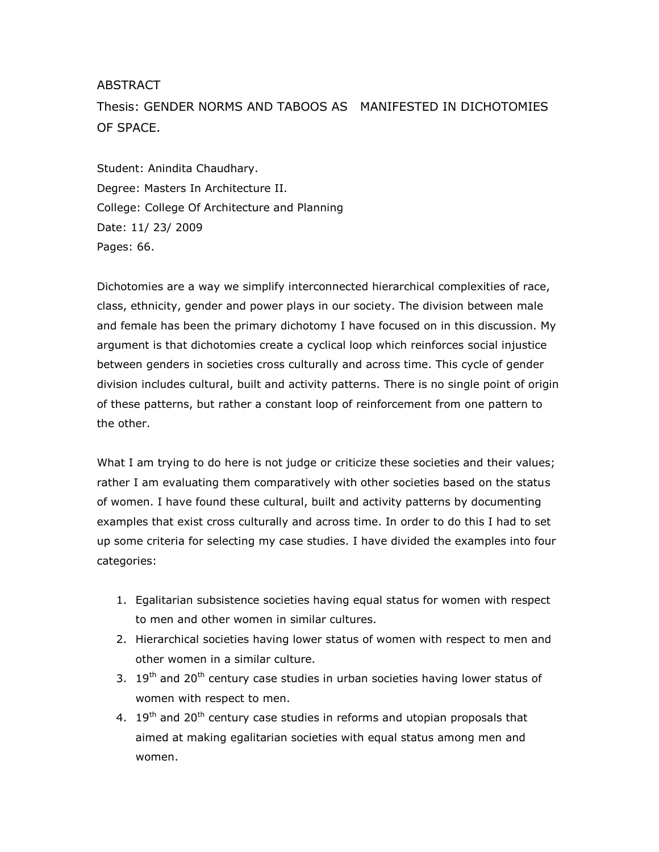## ABSTRACT

Thesis: GENDER NORMS AND TABOOS AS MANIFESTED IN DICHOTOMIES OF SPACE.

Student: Anindita Chaudhary. Degree: Masters In Architecture II. College: College Of Architecture and Planning Date: 11/ 23/ 2009 Pages: 66.

Dichotomies are a way we simplify interconnected hierarchical complexities of race, class, ethnicity, gender and power plays in our society. The division between male and female has been the primary dichotomy I have focused on in this discussion. My argument is that dichotomies create a cyclical loop which reinforces social injustice between genders in societies cross culturally and across time. This cycle of gender division includes cultural, built and activity patterns. There is no single point of origin of these patterns, but rather a constant loop of reinforcement from one pattern to the other.

What I am trying to do here is not judge or criticize these societies and their values; rather I am evaluating them comparatively with other societies based on the status of women. I have found these cultural, built and activity patterns by documenting examples that exist cross culturally and across time. In order to do this I had to set up some criteria for selecting my case studies. I have divided the examples into four categories:

- 1. Egalitarian subsistence societies having equal status for women with respect to men and other women in similar cultures.
- 2. Hierarchical societies having lower status of women with respect to men and other women in a similar culture.
- 3.  $19<sup>th</sup>$  and 20<sup>th</sup> century case studies in urban societies having lower status of women with respect to men.
- 4. 19<sup>th</sup> and 20<sup>th</sup> century case studies in reforms and utopian proposals that aimed at making egalitarian societies with equal status among men and women.